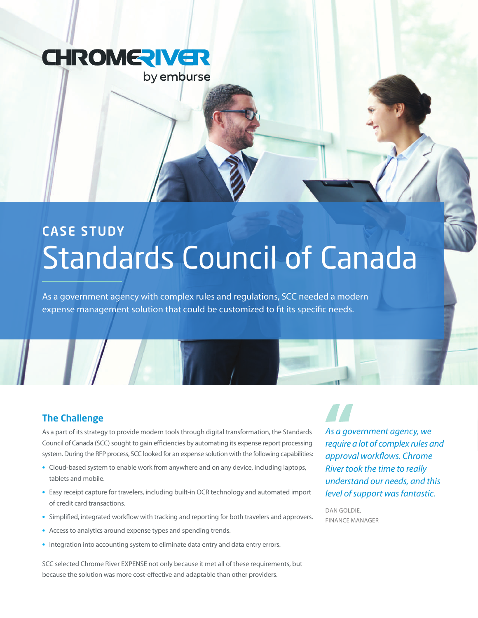

## CASE STUDY Standards Council of Canada

As a government agency with complex rules and regulations, SCC needed a modern expense management solution that could be customized to fit its specific needs.

### The Challenge

As a part of its strategy to provide modern tools through digital transformation, the Standards Council of Canada (SCC) sought to gain efficiencies by automating its expense report processing system. During the RFP process, SCC looked for an expense solution with the following capabilities:

- **•** Cloud-based system to enable work from anywhere and on any device, including laptops, tablets and mobile.
- **•** Easy receipt capture for travelers, including built-in OCR technology and automated import of credit card transactions.
- **•** Simplified, integrated workflow with tracking and reporting for both travelers and approvers.
- **•** Access to analytics around expense types and spending trends.
- **•** Integration into accounting system to eliminate data entry and data entry errors.

SCC selected Chrome River EXPENSE not only because it met all of these requirements, but because the solution was more cost-effective and adaptable than other providers.

*As a government agency, we require a lot of complex rules and approval workflows. Chrome River took the time to really understand our needs, and this level of support was fantastic.*

DAN GOLDIE, Finance Manager